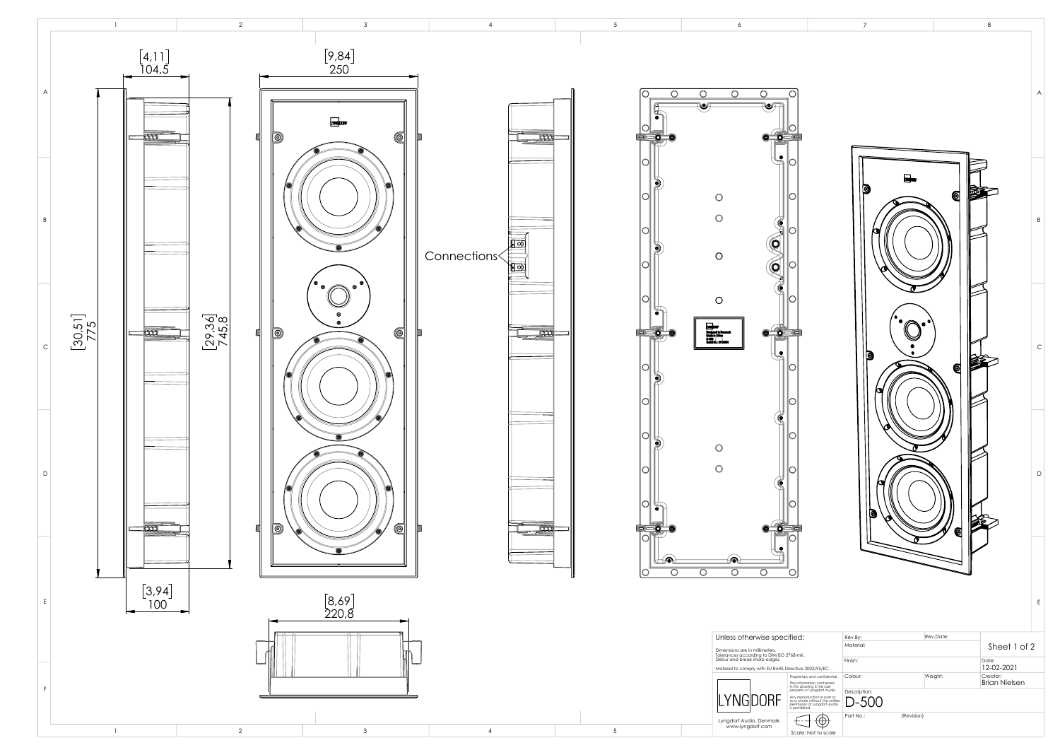